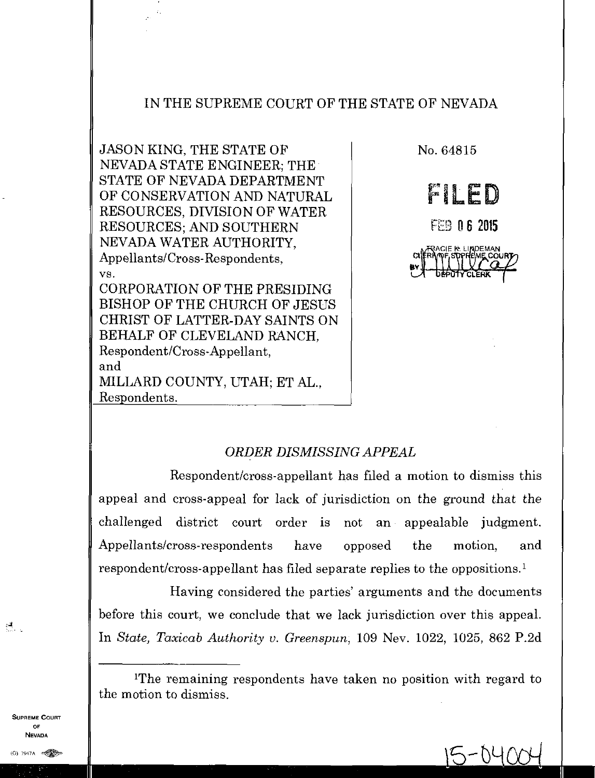## IN THE SUPREME COURT OF THE STATE OF NEVADA

JASON KING, THE STATE OF NEVADA STATE ENGINEER; THE STATE OF NEVADA DEPARTMENT OF CONSERVATION AND NATURAL RESOURCES, DIVISION OF WATER RESOURCES; AND SOUTHERN NEVADA WATER AUTHORITY, Appellants/Cross-Respondents, vs. CORPORATION OF THE PRESIDING BISHOP OF THE CHURCH OF JESUS CHRIST OF LATTER-DAY SAINTS ON BEHALF OF CLEVELAND RANCH, Respondent/Cross-Appellant, and MILLARD COUNTY, UTAH; ET AL., Respondents.



## *ORDER DISMISSING APPEAL*

Respondent/cross-appellant has filed a motion to dismiss this appeal and cross-appeal for lack of jurisdiction on the ground that the challenged district court order is not an appealable judgment. Appellants/cross-respondents have opposed the motion, and respondent/cross-appellant has filed separate replies to the oppositions.'

Having considered the parties' arguments and the documents before this court, we conclude that we lack jurisdiction over this appeal. In *State, Taxicab Authority v. Greenspun,* 109 Nev. 1022, 1025, 862 P.2d

SUPREME COURT OF **NEVADA** 

 $\mathcal{O}(\mathcal{C})$ 

<sup>1</sup>The remaining respondents have taken no position with regard to the motion to dismiss.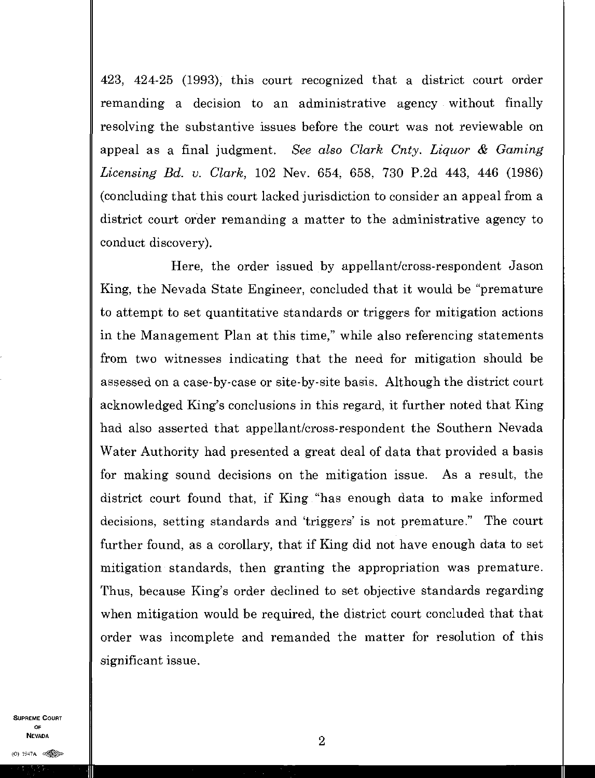423, 424-25 (1993), this court recognized that a district court order remanding a decision to an administrative agency without finally resolving the substantive issues before the court was not reviewable on appeal as a final judgment. *See also Clark Cnty. Liquor & Gaming Licensing Bd. v. Clark,* 102 Nev. 654, 658, 730 P.2d 443, 446 (1986) (concluding that this court lacked jurisdiction to consider an appeal from a district court order remanding a matter to the administrative agency to conduct discovery).

Here, the order issued by appellant/cross-respondent Jason King, the Nevada State Engineer, concluded that it would be "premature to attempt to set quantitative standards or triggers for mitigation actions in the Management Plan at this time," while also referencing statements from two witnesses indicating that the need for mitigation should be assessed on a case-by-case or site-by-site basis, Although the district court acknowledged King's conclusions in this regard, it further noted that King had also asserted that appellant/cross-respondent the Southern Nevada Water Authority had presented a great deal of data that provided a basis for making sound decisions on the mitigation issue. As a result, the district court found that, if King "has enough data to make informed decisions, setting standards and 'triggers' is not premature." The court further found, as a corollary, that if King did not have enough data to set mitigation standards, then granting the appropriation was premature. Thus, because King's order declined to set objective standards regarding when mitigation would be required, the district court concluded that that order was incomplete and remanded the matter for resolution of this significant issue.

SUPREME COURT OF  $\blacksquare$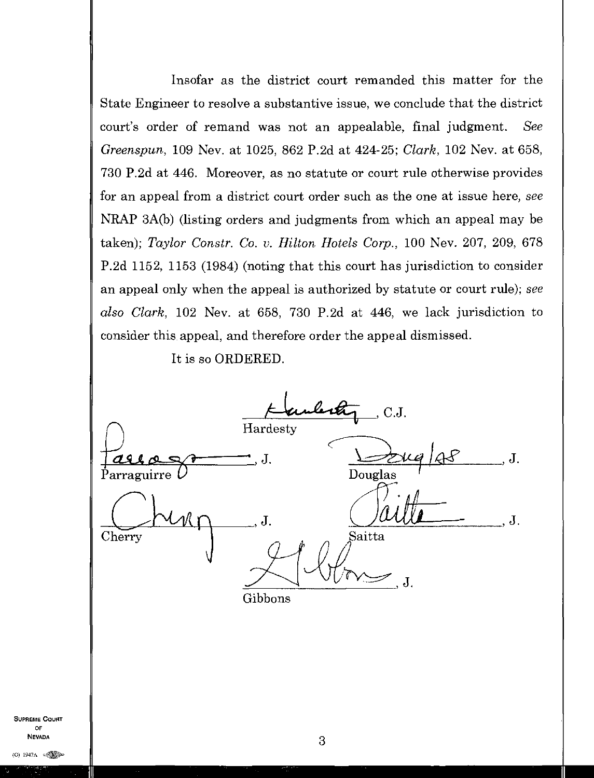Insofar as the district court remanded this matter for the State Engineer to resolve a substantive issue, we conclude that the district court's order of remand was not an appealable, final judgment. *See Greenspun,* 109 Nev. at 1025, 862 P.2d at 424-25; *Clark,* 102 Nev. at 658, 730 P.2d at 446. Moreover, as no statute or court rule otherwise provides for an appeal from a district court order such as the one at issue here, *see*  NRAP 3A(b) (listing orders and judgments from which an appeal may be taken); *Taylor Constr. Co. v. Hilton Hotels Corp.,* 100 Nev. 207, 209, 678 P.2d 1152, 1153 (1984) (noting that this court has jurisdiction to consider an appeal only when the appeal is authorized by statute or court rule); *see also Clark,* 102 Nev. at 658, 730 P.2d at 446, we lack jurisdiction to consider this appeal, and therefore order the appeal dismissed.

It is so ORDERED.

l**ert**e  $C.J.$ Hardesty J. J. Parraguirre Douglas  $J.$ J.  $Cherry$ Saitta  $\bf J$ . Gibbons

SUPREME COURT OF  $\sim$  3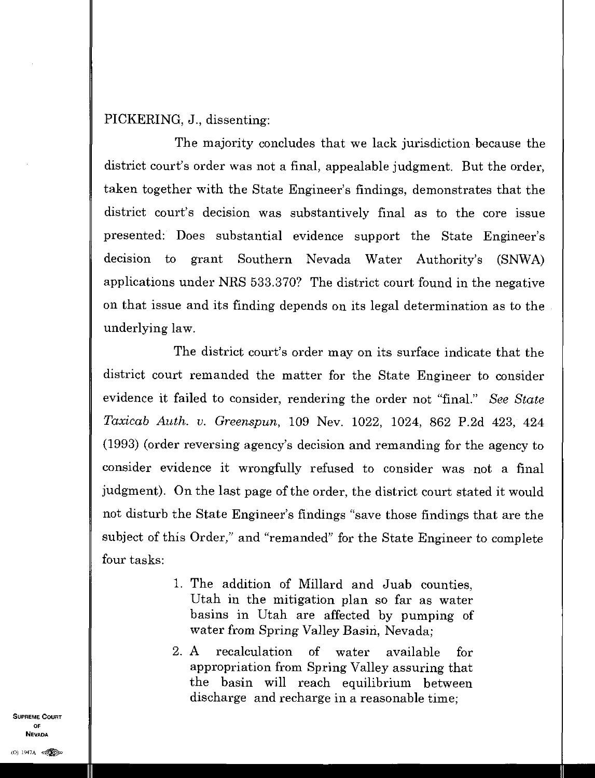PICKERING, J., dissenting:

The majority concludes that we lack jurisdiction because the district court's order was not a final, appealable judgment. But the order, taken together with the State Engineer's findings, demonstrates that the district court's decision was substantively final as to the core issue presented: Does substantial evidence support the State Engineer's decision to grant Southern Nevada Water Authority's (SNWA) applications under NRS 533.370? The district court found in the negative on that issue and its finding depends on its legal determination as to the underlying law.

The district court's order may on its surface indicate that the district court remanded the matter for the State Engineer to consider evidence it failed to consider, rendering the order not "final." *See State Taxicab Auth. v. Greenspun,* 109 Nev. 1022, 1024, 862 P.2d 423, 424 (1993) (order reversing agency's decision and remanding for the agency to consider evidence it wrongfully refused to consider was not a final judgment). On the last page of the order, the district court stated it would not disturb the State Engineer's findings "save those findings that are the subject of this Order," and "remanded" for the State Engineer to complete four tasks:

- 1. The addition of Millard and Juab counties, Utah in the mitigation plan so far as water basins in Utah are affected by pumping of water from Spring Valley Basin, Nevada;
- 2. A recalculation of water available for appropriation from Spring Valley assuring that the basin will reach equilibrium between discharge and recharge in a reasonable time;

SUPREME COURT OF NEVADA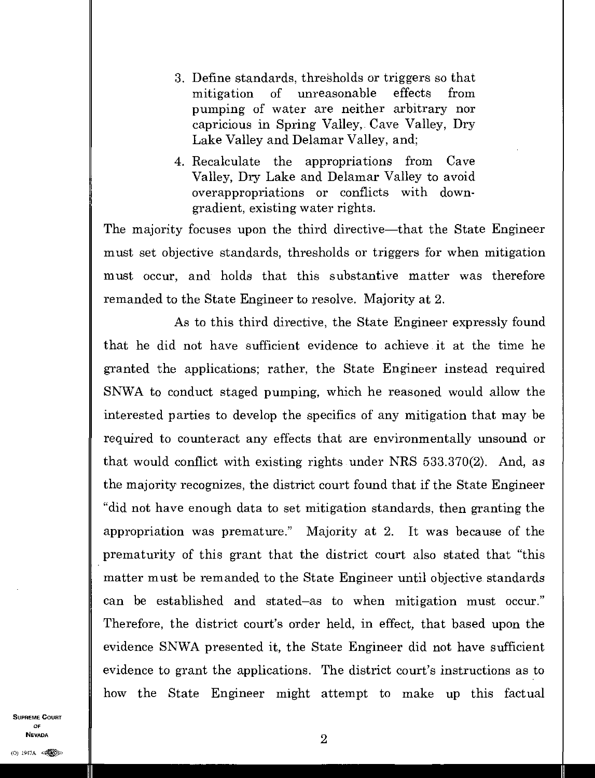- 3. Define standards, thresholds or triggers so that mitigation of unreasonable effects from pumping of water are neither arbitrary nor capricious in Spring Valley, Cave Valley, Dry Lake Valley and Delamar Valley, and;
- 4. Recalculate the appropriations from Cave Valley, Dry Lake and Delamar Valley to avoid overappropriations or conflicts with downgradient, existing water rights.

The majority focuses upon the third directive—that the State Engineer must set objective standards, thresholds or triggers for when mitigation must occur, and holds that this substantive matter was therefore remanded to the State Engineer to resolve. Majority at 2.

As to this third directive, the State Engineer expressly found that he did not have sufficient evidence to achieve it at the time he granted the applications; rather, the State Engineer instead required SNWA to conduct staged pumping, which he reasoned would allow the interested parties to develop the specifics of any mitigation that may be required to counteract any effects that are environmentally unsound or that would conflict with existing rights under NRS 533.370(2). And, as the majority recognizes, the district court found that if the State Engineer "did not have enough data to set mitigation standards, then granting the appropriation was premature." Majority at 2. It was because of the prematurity of this grant that the district court also stated that "this matter must be remanded to the State Engineer until objective standards can be established and stated–as to when mitigation must occur." Therefore, the district court's order held, in effect, that based upon the evidence SNWA presented it, the State Engineer did not have sufficient evidence to grant the applications. The district court's instructions as to how the State Engineer might attempt to make up this factual

SUPREME COURT OF  $\blacksquare$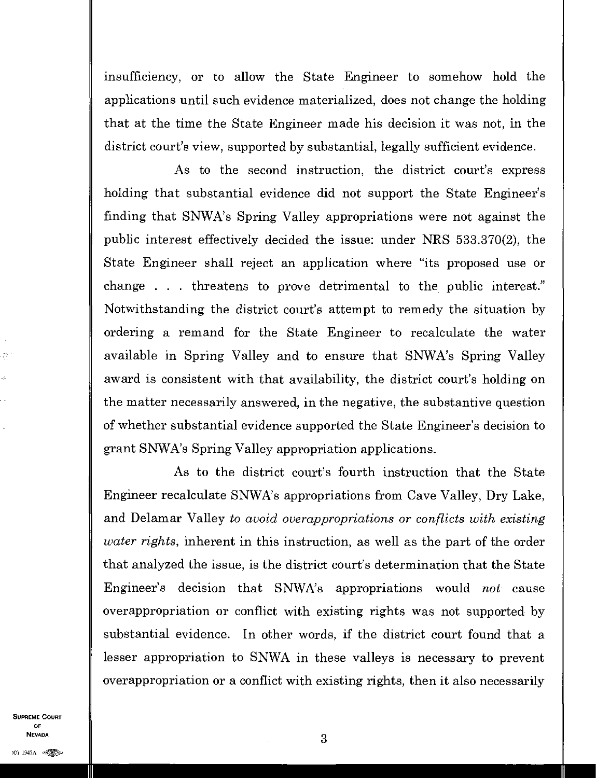insufficiency, or to allow the State Engineer to somehow hold the applications until such evidence materialized, does not change the holding that at the time the State Engineer made his decision it was not, in the district court's view, supported by substantial, legally sufficient evidence.

As to the second instruction, the district court's express holding that substantial evidence did not support the State Engineer's finding that SNWA's Spring Valley appropriations were not against the public interest effectively decided the issue: under NRS 533.370(2), the State Engineer shall reject an application where "its proposed use or change . . . threatens to prove detrimental to the public interest." Notwithstanding the district court's attempt to remedy the situation by ordering a remand for the State Engineer to recalculate the water available in Spring Valley and to ensure that SNWA's Spring Valley award is consistent with that availability, the district court's holding on the matter necessarily answered, in the negative, the substantive question of whether substantial evidence supported the State Engineer's decision to grant SNWA's Spring Valley appropriation applications.

As to the district court's fourth instruction that the State Engineer recalculate SNWA's appropriations from Cave Valley, Dry Lake, and Delamar Valley *to avoid overappropriations or conflicts with existing water rights,* inherent in this instruction, as well as the part of the order that analyzed the issue, is the district court's determination that the State Engineer's decision that SNWA's appropriations would *not* cause overappropriation or conflict with existing rights was not supported by substantial evidence. In other words, if the district court found that a lesser appropriation to SNWA in these valleys is necessary to prevent overappropriation or a conflict with existing rights, then it also necessarily

SUPREME COURT OF NEVADA 3 **(1) Nevada**<br>(0) 1947a **eliy**ye

P.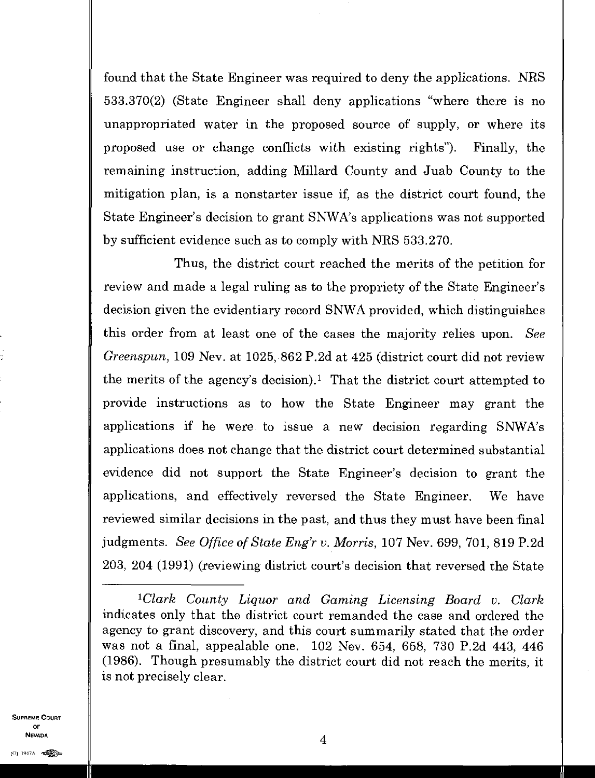found that the State Engineer was required to deny the applications. NRS 533.370(2) (State Engineer shall deny applications "where there is no unappropriated water in the proposed source of supply, or where its proposed use or change conflicts with existing rights"). Finally, the remaining instruction, adding Millard County and Juab County to the mitigation plan, is a nonstarter issue if, as the district court found, the State Engineer's decision to grant SNWA's applications was not supported by sufficient evidence such as to comply with NRS 533.270.

Thus, the district court reached the merits of the petition for review and made a legal ruling as to the propriety of the State Engineer's decision given the evidentiary record SNWA provided, which distinguishes this order from at least one of the cases the majority relies upon. *See Greenspun,* 109 Nev. at 1025, 862 P.2d at 425 (district court did not review the merits of the agency's decision).' That the district court attempted to provide instructions as to how the State Engineer may grant the applications if he were to issue a new decision regarding SNWA's applications does not change that the district court determined substantial evidence did not support the State Engineer's decision to grant the applications, and effectively reversed the State Engineer. We have reviewed similar decisions in the past, and thus they must have been final judgments. *See Office of State Eng'r v. Morris,* 107 Nev. 699, 701, 819 P.2d 203, 204 (1991) (reviewing district court's decision that reversed the State

SUPREME COURT OF NEVADA  $4$ **Nevada**<br>(0)  $1947A$  esternal

*<sup>1</sup>Clark County Liquor and Gaming Licensing Board v. Clark*  indicates only that the district court remanded the case and ordered the agency to grant discovery, and this court summarily stated that the order was not a final, appealable one. 102 Nev. 654, 658, 730 P.2d 443, 446 (1986). Though presumably the district court did not reach the merits, it is not precisely clear.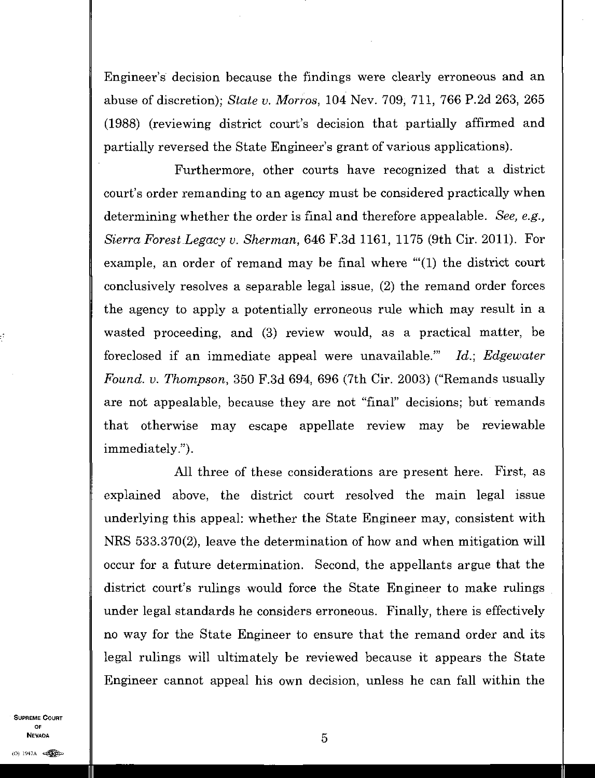Engineer's decision because the findings were clearly erroneous and an abuse of discretion); *State v. Morros,* 104 Nev. 709, 711, 766 P.2d 263, 265 (1988) (reviewing district court's decision that partially affirmed and partially reversed the State Engineer's grant of various applications).

Furthermore, other courts have recognized that a district court's order remanding to an agency must be considered practically when determining whether the order is final and therefore appealable. *See, e.g., Sierra Forest Legacy v. Sherman,* 646 F.3d 1161, 1175 (9th Cir. 2011). For example, an order of remand may be final where "(1) the district court conclusively resolves a separable legal issue, (2) the remand order forces the agency to apply a potentially erroneous rule which may result in a wasted proceeding, and (3) review would, as a practical matter, be foreclosed if an immediate appeal were unavailable." *Id.; Edgewater Found. v. Thompson,* 350 F.3d 694, 696 (7th Cir. 2003) ("Remands usually are not appealable, because they are not "final" decisions; but remands that otherwise may escape appellate review may be reviewable immediately.").

All three of these considerations are present here. First, as explained above, the district court resolved the main legal issue underlying this appeal: whether the State Engineer may, consistent with NRS 533.370(2), leave the determination of how and when mitigation will occur for a future determination. Second, the appellants argue that the district court's rulings would force the State Engineer to make rulings under legal standards he considers erroneous. Finally, there is effectively no way for the State Engineer to ensure that the remand order and its legal rulings will ultimately be reviewed because it appears the State Engineer cannot appeal his own decision, unless he can fall within the

SUPREME COURT OF  $\blacksquare$ **Nevada**<br>(0) 1947A  $\bullet$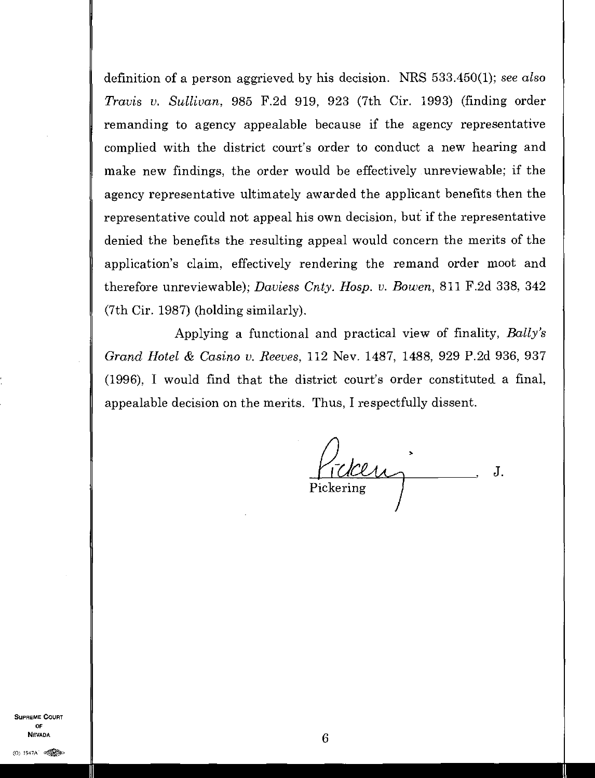definition of a person aggrieved by his decision. NRS 533.450(1); *see* also *Travis v. Sullivan,* 985 F.2d 919, 923 (7th Cir. 1993) (finding order remanding to agency appealable because if the agency representative complied with the district court's order to conduct a new hearing and make new findings, the order would be effectively unreviewable; if the agency representative ultimately awarded the applicant benefits then the representative could not appeal his own decision, but if the representative denied the benefits the resulting appeal would concern the merits of the application's claim, effectively rendering the remand order moot and therefore unreviewable); *Daviess Cnty. Hosp. v. Bowen,* 811 F.2d 338, 342 (7th Cir. 1987) (holding similarly).

Applying a functional and practical view of finality, *Bally's Grand Hotel & Casino v. Reeves,* 112 Nev. 1487, 1488, 929 P.2d 936, 937 (1996), I would find that the district court's order constituted a final, appealable decision on the merits. Thus, I respectfully dissent.

Picken J.

SUPREME COURT OF NEVADA  $6$  $N$ evada<br>(0) 1947A  $\lll$